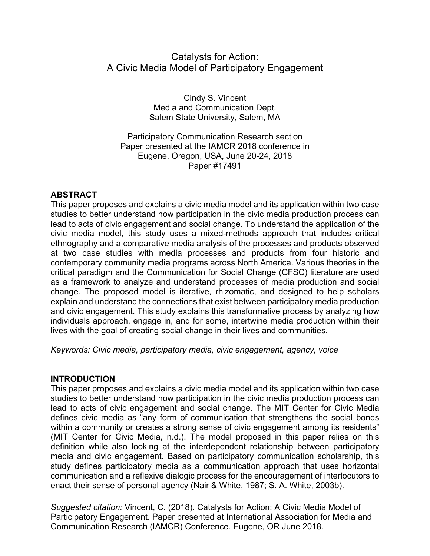# Catalysts for Action: A Civic Media Model of Participatory Engagement

Cindy S. Vincent Media and Communication Dept. Salem State University, Salem, MA

Participatory Communication Research section Paper presented at the IAMCR 2018 conference in Eugene, Oregon, USA, June 20-24, 2018 Paper #17491

# **ABSTRACT**

This paper proposes and explains a civic media model and its application within two case studies to better understand how participation in the civic media production process can lead to acts of civic engagement and social change. To understand the application of the civic media model, this study uses a mixed-methods approach that includes critical ethnography and a comparative media analysis of the processes and products observed at two case studies with media processes and products from four historic and contemporary community media programs across North America. Various theories in the critical paradigm and the Communication for Social Change (CFSC) literature are used as a framework to analyze and understand processes of media production and social change. The proposed model is iterative, rhizomatic, and designed to help scholars explain and understand the connections that exist between participatory media production and civic engagement. This study explains this transformative process by analyzing how individuals approach, engage in, and for some, intertwine media production within their lives with the goal of creating social change in their lives and communities.

*Keywords: Civic media, participatory media, civic engagement, agency, voice* 

## **INTRODUCTION**

This paper proposes and explains a civic media model and its application within two case studies to better understand how participation in the civic media production process can lead to acts of civic engagement and social change. The MIT Center for Civic Media defines civic media as "any form of communication that strengthens the social bonds within a community or creates a strong sense of civic engagement among its residents" (MIT Center for Civic Media, n.d.). The model proposed in this paper relies on this definition while also looking at the interdependent relationship between participatory media and civic engagement. Based on participatory communication scholarship, this study defines participatory media as a communication approach that uses horizontal communication and a reflexive dialogic process for the encouragement of interlocutors to enact their sense of personal agency (Nair & White, 1987; S. A. White, 2003b).

*Suggested citation:* Vincent, C. (2018). Catalysts for Action: A Civic Media Model of Participatory Engagement. Paper presented at International Association for Media and Communication Research (IAMCR) Conference. Eugene, OR June 2018.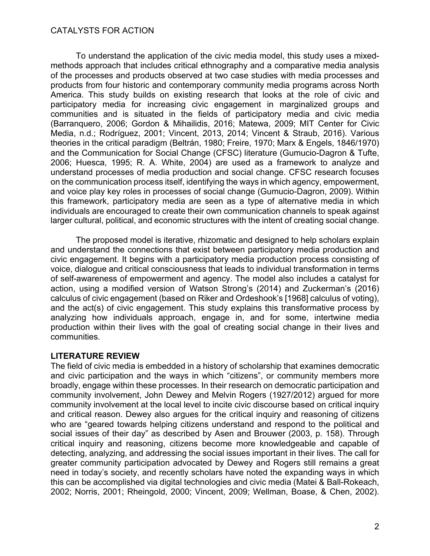To understand the application of the civic media model, this study uses a mixedmethods approach that includes critical ethnography and a comparative media analysis of the processes and products observed at two case studies with media processes and products from four historic and contemporary community media programs across North America. This study builds on existing research that looks at the role of civic and participatory media for increasing civic engagement in marginalized groups and communities and is situated in the fields of participatory media and civic media (Barranquero, 2006; Gordon & Mihailidis, 2016; Matewa, 2009; MIT Center for Civic Media, n.d.; Rodríguez, 2001; Vincent, 2013, 2014; Vincent & Straub, 2016). Various theories in the critical paradigm (Beltrán, 1980; Freire, 1970; Marx & Engels, 1846/1970) and the Communication for Social Change (CFSC) literature (Gumucio-Dagron & Tufte, 2006; Huesca, 1995; R. A. White, 2004) are used as a framework to analyze and understand processes of media production and social change. CFSC research focuses on the communication process itself, identifying the ways in which agency, empowerment, and voice play key roles in processes of social change (Gumucio-Dagron, 2009). Within this framework, participatory media are seen as a type of alternative media in which individuals are encouraged to create their own communication channels to speak against larger cultural, political, and economic structures with the intent of creating social change.

The proposed model is iterative, rhizomatic and designed to help scholars explain and understand the connections that exist between participatory media production and civic engagement. It begins with a participatory media production process consisting of voice, dialogue and critical consciousness that leads to individual transformation in terms of self-awareness of empowerment and agency. The model also includes a catalyst for action, using a modified version of Watson Strong's (2014) and Zuckerman's (2016) calculus of civic engagement (based on Riker and Ordeshook's [1968] calculus of voting), and the act(s) of civic engagement. This study explains this transformative process by analyzing how individuals approach, engage in, and for some, intertwine media production within their lives with the goal of creating social change in their lives and communities.

## **LITERATURE REVIEW**

The field of civic media is embedded in a history of scholarship that examines democratic and civic participation and the ways in which "citizens", or community members more broadly, engage within these processes. In their research on democratic participation and community involvement, John Dewey and Melvin Rogers (1927/2012) argued for more community involvement at the local level to incite civic discourse based on critical inquiry and critical reason. Dewey also argues for the critical inquiry and reasoning of citizens who are "geared towards helping citizens understand and respond to the political and social issues of their day" as described by Asen and Brouwer (2003, p. 158). Through critical inquiry and reasoning, citizens become more knowledgeable and capable of detecting, analyzing, and addressing the social issues important in their lives. The call for greater community participation advocated by Dewey and Rogers still remains a great need in today's society, and recently scholars have noted the expanding ways in which this can be accomplished via digital technologies and civic media (Matei & Ball-Rokeach, 2002; Norris, 2001; Rheingold, 2000; Vincent, 2009; Wellman, Boase, & Chen, 2002).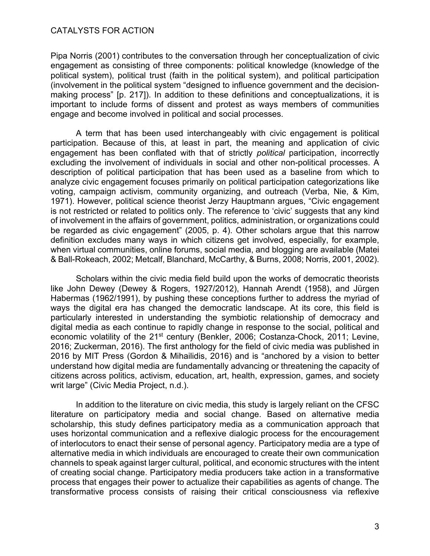Pipa Norris (2001) contributes to the conversation through her conceptualization of civic engagement as consisting of three components: political knowledge (knowledge of the political system), political trust (faith in the political system), and political participation (involvement in the political system "designed to influence government and the decisionmaking process" [p. 217]). In addition to these definitions and conceptualizations, it is important to include forms of dissent and protest as ways members of communities engage and become involved in political and social processes.

A term that has been used interchangeably with civic engagement is political participation. Because of this, at least in part, the meaning and application of civic engagement has been conflated with that of strictly *political* participation, incorrectly excluding the involvement of individuals in social and other non-political processes. A description of political participation that has been used as a baseline from which to analyze civic engagement focuses primarily on political participation categorizations like voting, campaign activism, community organizing, and outreach (Verba, Nie, & Kim, 1971). However, political science theorist Jerzy Hauptmann argues, "Civic engagement is not restricted or related to politics only. The reference to 'civic' suggests that any kind of involvement in the affairs of government, politics, administration, or organizations could be regarded as civic engagement" (2005, p. 4). Other scholars argue that this narrow definition excludes many ways in which citizens get involved, especially, for example, when virtual communities, online forums, social media, and blogging are available (Matei & Ball-Rokeach, 2002; Metcalf, Blanchard, McCarthy, & Burns, 2008; Norris, 2001, 2002).

Scholars within the civic media field build upon the works of democratic theorists like John Dewey (Dewey & Rogers, 1927/2012), Hannah Arendt (1958), and Jürgen Habermas (1962/1991), by pushing these conceptions further to address the myriad of ways the digital era has changed the democratic landscape. At its core, this field is particularly interested in understanding the symbiotic relationship of democracy and digital media as each continue to rapidly change in response to the social, political and economic volatility of the 21<sup>st</sup> century (Benkler, 2006; Costanza-Chock, 2011; Levine, 2016; Zuckerman, 2016). The first anthology for the field of civic media was published in 2016 by MIT Press (Gordon & Mihailidis, 2016) and is "anchored by a vision to better understand how digital media are fundamentally advancing or threatening the capacity of citizens across politics, activism, education, art, health, expression, games, and society writ large" (Civic Media Project, n.d.).

In addition to the literature on civic media, this study is largely reliant on the CFSC literature on participatory media and social change. Based on alternative media scholarship, this study defines participatory media as a communication approach that uses horizontal communication and a reflexive dialogic process for the encouragement of interlocutors to enact their sense of personal agency. Participatory media are a type of alternative media in which individuals are encouraged to create their own communication channels to speak against larger cultural, political, and economic structures with the intent of creating social change. Participatory media producers take action in a transformative process that engages their power to actualize their capabilities as agents of change. The transformative process consists of raising their critical consciousness via reflexive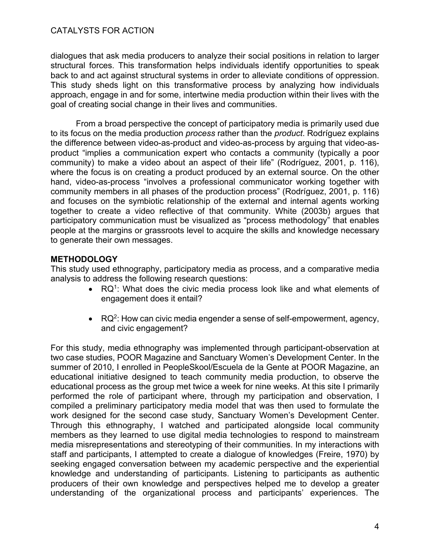dialogues that ask media producers to analyze their social positions in relation to larger structural forces. This transformation helps individuals identify opportunities to speak back to and act against structural systems in order to alleviate conditions of oppression. This study sheds light on this transformative process by analyzing how individuals approach, engage in and for some, intertwine media production within their lives with the goal of creating social change in their lives and communities.

From a broad perspective the concept of participatory media is primarily used due to its focus on the media production *process* rather than the *product*. Rodríguez explains the difference between video-as-product and video-as-process by arguing that video-asproduct "implies a communication expert who contacts a community (typically a poor community) to make a video about an aspect of their life" (Rodríguez, 2001, p. 116), where the focus is on creating a product produced by an external source. On the other hand, video-as-process "involves a professional communicator working together with community members in all phases of the production process" (Rodríguez, 2001, p. 116) and focuses on the symbiotic relationship of the external and internal agents working together to create a video reflective of that community. White (2003b) argues that participatory communication must be visualized as "process methodology" that enables people at the margins or grassroots level to acquire the skills and knowledge necessary to generate their own messages.

# **METHODOLOGY**

This study used ethnography, participatory media as process, and a comparative media analysis to address the following research questions:

- $RQ<sup>1</sup>$ : What does the civic media process look like and what elements of engagement does it entail?
- $RQ<sup>2</sup>$ : How can civic media engender a sense of self-empowerment, agency, and civic engagement?

For this study, media ethnography was implemented through participant-observation at two case studies, POOR Magazine and Sanctuary Women's Development Center. In the summer of 2010, I enrolled in PeopleSkool/Escuela de la Gente at POOR Magazine, an educational initiative designed to teach community media production, to observe the educational process as the group met twice a week for nine weeks. At this site I primarily performed the role of participant where, through my participation and observation, I compiled a preliminary participatory media model that was then used to formulate the work designed for the second case study, Sanctuary Women's Development Center. Through this ethnography, I watched and participated alongside local community members as they learned to use digital media technologies to respond to mainstream media misrepresentations and stereotyping of their communities. In my interactions with staff and participants, I attempted to create a dialogue of knowledges (Freire, 1970) by seeking engaged conversation between my academic perspective and the experiential knowledge and understanding of participants. Listening to participants as authentic producers of their own knowledge and perspectives helped me to develop a greater understanding of the organizational process and participants' experiences. The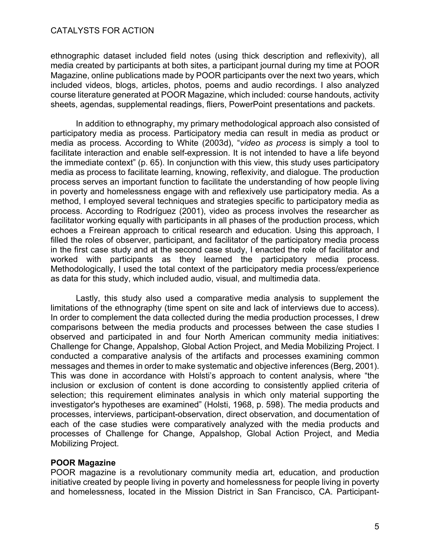ethnographic dataset included field notes (using thick description and reflexivity), all media created by participants at both sites, a participant journal during my time at POOR Magazine, online publications made by POOR participants over the next two years, which included videos, blogs, articles, photos, poems and audio recordings. I also analyzed course literature generated at POOR Magazine, which included: course handouts, activity sheets, agendas, supplemental readings, fliers, PowerPoint presentations and packets.

In addition to ethnography, my primary methodological approach also consisted of participatory media as process. Participatory media can result in media as product or media as process. According to White (2003d), "*video as process* is simply a tool to facilitate interaction and enable self-expression. It is not intended to have a life beyond the immediate context" (p. 65). In conjunction with this view, this study uses participatory media as process to facilitate learning, knowing, reflexivity, and dialogue. The production process serves an important function to facilitate the understanding of how people living in poverty and homelessness engage with and reflexively use participatory media. As a method, I employed several techniques and strategies specific to participatory media as process. According to Rodríguez (2001), video as process involves the researcher as facilitator working equally with participants in all phases of the production process, which echoes a Freirean approach to critical research and education. Using this approach, I filled the roles of observer, participant, and facilitator of the participatory media process in the first case study and at the second case study, I enacted the role of facilitator and worked with participants as they learned the participatory media process. Methodologically, I used the total context of the participatory media process/experience as data for this study, which included audio, visual, and multimedia data.

Lastly, this study also used a comparative media analysis to supplement the limitations of the ethnography (time spent on site and lack of interviews due to access). In order to complement the data collected during the media production processes, I drew comparisons between the media products and processes between the case studies I observed and participated in and four North American community media initiatives: Challenge for Change, Appalshop, Global Action Project, and Media Mobilizing Project. I conducted a comparative analysis of the artifacts and processes examining common messages and themes in order to make systematic and objective inferences (Berg, 2001). This was done in accordance with Holsti's approach to content analysis, where "the inclusion or exclusion of content is done according to consistently applied criteria of selection; this requirement eliminates analysis in which only material supporting the investigator's hypotheses are examined" (Holsti, 1968, p. 598). The media products and processes, interviews, participant-observation, direct observation, and documentation of each of the case studies were comparatively analyzed with the media products and processes of Challenge for Change, Appalshop, Global Action Project, and Media Mobilizing Project.

# **POOR Magazine**

POOR magazine is a revolutionary community media art, education, and production initiative created by people living in poverty and homelessness for people living in poverty and homelessness, located in the Mission District in San Francisco, CA. Participant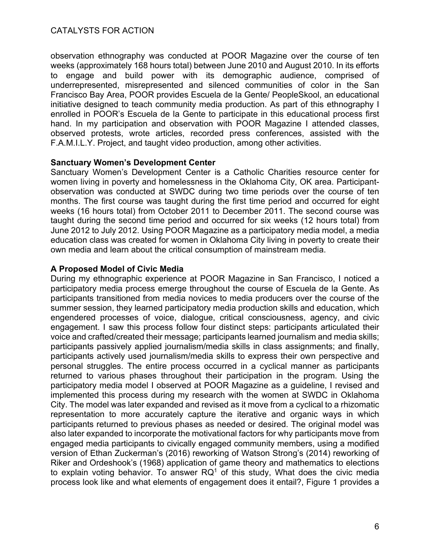observation ethnography was conducted at POOR Magazine over the course of ten weeks (approximately 168 hours total) between June 2010 and August 2010. In its efforts to engage and build power with its demographic audience, comprised of underrepresented, misrepresented and silenced communities of color in the San Francisco Bay Area, POOR provides Escuela de la Gente/ PeopleSkool, an educational initiative designed to teach community media production. As part of this ethnography I enrolled in POOR's Escuela de la Gente to participate in this educational process first hand. In my participation and observation with POOR Magazine I attended classes, observed protests, wrote articles, recorded press conferences, assisted with the F.A.M.I.L.Y. Project, and taught video production, among other activities.

# **Sanctuary Women's Development Center**

Sanctuary Women's Development Center is a Catholic Charities resource center for women living in poverty and homelessness in the Oklahoma City, OK area. Participantobservation was conducted at SWDC during two time periods over the course of ten months. The first course was taught during the first time period and occurred for eight weeks (16 hours total) from October 2011 to December 2011. The second course was taught during the second time period and occurred for six weeks (12 hours total) from June 2012 to July 2012. Using POOR Magazine as a participatory media model, a media education class was created for women in Oklahoma City living in poverty to create their own media and learn about the critical consumption of mainstream media.

# **A Proposed Model of Civic Media**

During my ethnographic experience at POOR Magazine in San Francisco, I noticed a participatory media process emerge throughout the course of Escuela de la Gente. As participants transitioned from media novices to media producers over the course of the summer session, they learned participatory media production skills and education, which engendered processes of voice, dialogue, critical consciousness, agency, and civic engagement. I saw this process follow four distinct steps: participants articulated their voice and crafted/created their message; participants learned journalism and media skills; participants passively applied journalism/media skills in class assignments; and finally, participants actively used journalism/media skills to express their own perspective and personal struggles. The entire process occurred in a cyclical manner as participants returned to various phases throughout their participation in the program. Using the participatory media model I observed at POOR Magazine as a guideline, I revised and implemented this process during my research with the women at SWDC in Oklahoma City. The model was later expanded and revised as it move from a cyclical to a rhizomatic representation to more accurately capture the iterative and organic ways in which participants returned to previous phases as needed or desired. The original model was also later expanded to incorporate the motivational factors for why participants move from engaged media participants to civically engaged community members, using a modified version of Ethan Zuckerman's (2016) reworking of Watson Strong's (2014) reworking of Riker and Ordeshook's (1968) application of game theory and mathematics to elections to explain voting behavior. To answer  $RQ<sup>1</sup>$  of this study, What does the civic media process look like and what elements of engagement does it entail?, Figure 1 provides a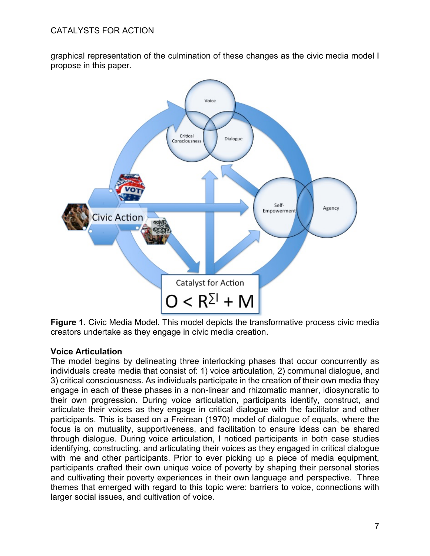graphical representation of the culmination of these changes as the civic media model I propose in this paper.



**Figure 1.** Civic Media Model. This model depicts the transformative process civic media creators undertake as they engage in civic media creation.

# **Voice Articulation**

The model begins by delineating three interlocking phases that occur concurrently as individuals create media that consist of: 1) voice articulation, 2) communal dialogue, and 3) critical consciousness. As individuals participate in the creation of their own media they engage in each of these phases in a non-linear and rhizomatic manner, idiosyncratic to their own progression. During voice articulation, participants identify, construct, and articulate their voices as they engage in critical dialogue with the facilitator and other participants. This is based on a Freirean (1970) model of dialogue of equals, where the focus is on mutuality, supportiveness, and facilitation to ensure ideas can be shared through dialogue. During voice articulation, I noticed participants in both case studies identifying, constructing, and articulating their voices as they engaged in critical dialogue with me and other participants. Prior to ever picking up a piece of media equipment, participants crafted their own unique voice of poverty by shaping their personal stories and cultivating their poverty experiences in their own language and perspective. Three themes that emerged with regard to this topic were: barriers to voice, connections with larger social issues, and cultivation of voice.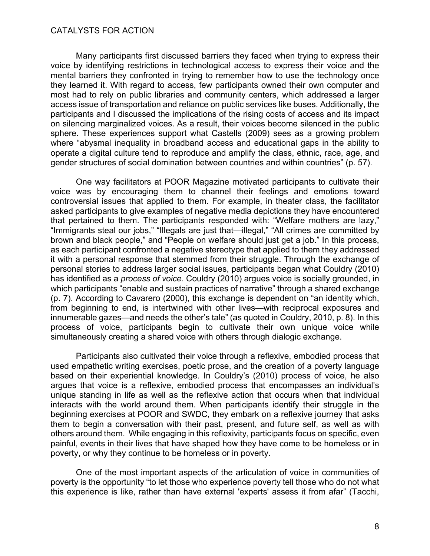Many participants first discussed barriers they faced when trying to express their voice by identifying restrictions in technological access to express their voice and the mental barriers they confronted in trying to remember how to use the technology once they learned it. With regard to access, few participants owned their own computer and most had to rely on public libraries and community centers, which addressed a larger access issue of transportation and reliance on public services like buses. Additionally, the participants and I discussed the implications of the rising costs of access and its impact on silencing marginalized voices. As a result, their voices become silenced in the public sphere. These experiences support what Castells (2009) sees as a growing problem where "abysmal inequality in broadband access and educational gaps in the ability to operate a digital culture tend to reproduce and amplify the class, ethnic, race, age, and gender structures of social domination between countries and within countries" (p. 57).

One way facilitators at POOR Magazine motivated participants to cultivate their voice was by encouraging them to channel their feelings and emotions toward controversial issues that applied to them. For example, in theater class, the facilitator asked participants to give examples of negative media depictions they have encountered that pertained to them. The participants responded with: "Welfare mothers are lazy," "Immigrants steal our jobs," "Illegals are just that—illegal," "All crimes are committed by brown and black people," and "People on welfare should just get a job." In this process, as each participant confronted a negative stereotype that applied to them they addressed it with a personal response that stemmed from their struggle. Through the exchange of personal stories to address larger social issues, participants began what Couldry (2010) has identified as a *process of voice*. Couldry (2010) argues voice is socially grounded, in which participants "enable and sustain practices of narrative" through a shared exchange (p. 7). According to Cavarero (2000), this exchange is dependent on "an identity which, from beginning to end, is intertwined with other lives—with reciprocal exposures and innumerable gazes—and needs the other's tale" (as quoted in Couldry, 2010, p. 8). In this process of voice, participants begin to cultivate their own unique voice while simultaneously creating a shared voice with others through dialogic exchange.

Participants also cultivated their voice through a reflexive, embodied process that used empathetic writing exercises, poetic prose, and the creation of a poverty language based on their experiential knowledge. In Couldry's (2010) process of voice, he also argues that voice is a reflexive, embodied process that encompasses an individual's unique standing in life as well as the reflexive action that occurs when that individual interacts with the world around them. When participants identify their struggle in the beginning exercises at POOR and SWDC, they embark on a reflexive journey that asks them to begin a conversation with their past, present, and future self, as well as with others around them. While engaging in this reflexivity, participants focus on specific, even painful, events in their lives that have shaped how they have come to be homeless or in poverty, or why they continue to be homeless or in poverty.

One of the most important aspects of the articulation of voice in communities of poverty is the opportunity "to let those who experience poverty tell those who do not what this experience is like, rather than have external 'experts' assess it from afar" (Tacchi,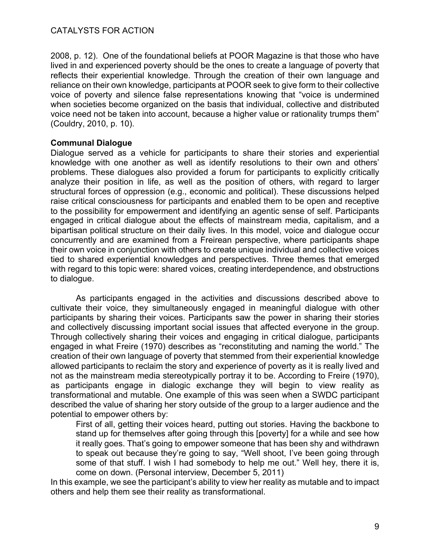2008, p. 12). One of the foundational beliefs at POOR Magazine is that those who have lived in and experienced poverty should be the ones to create a language of poverty that reflects their experiential knowledge. Through the creation of their own language and reliance on their own knowledge, participants at POOR seek to give form to their collective voice of poverty and silence false representations knowing that "voice is undermined when societies become organized on the basis that individual, collective and distributed voice need not be taken into account, because a higher value or rationality trumps them" (Couldry, 2010, p. 10).

## **Communal Dialogue**

Dialogue served as a vehicle for participants to share their stories and experiential knowledge with one another as well as identify resolutions to their own and others' problems. These dialogues also provided a forum for participants to explicitly critically analyze their position in life, as well as the position of others, with regard to larger structural forces of oppression (e.g., economic and political). These discussions helped raise critical consciousness for participants and enabled them to be open and receptive to the possibility for empowerment and identifying an agentic sense of self. Participants engaged in critical dialogue about the effects of mainstream media, capitalism, and a bipartisan political structure on their daily lives. In this model, voice and dialogue occur concurrently and are examined from a Freirean perspective, where participants shape their own voice in conjunction with others to create unique individual and collective voices tied to shared experiential knowledges and perspectives. Three themes that emerged with regard to this topic were: shared voices, creating interdependence, and obstructions to dialogue.

As participants engaged in the activities and discussions described above to cultivate their voice, they simultaneously engaged in meaningful dialogue with other participants by sharing their voices. Participants saw the power in sharing their stories and collectively discussing important social issues that affected everyone in the group. Through collectively sharing their voices and engaging in critical dialogue, participants engaged in what Freire (1970) describes as "reconstituting and naming the world." The creation of their own language of poverty that stemmed from their experiential knowledge allowed participants to reclaim the story and experience of poverty as it is really lived and not as the mainstream media stereotypically portray it to be. According to Freire (1970), as participants engage in dialogic exchange they will begin to view reality as transformational and mutable. One example of this was seen when a SWDC participant described the value of sharing her story outside of the group to a larger audience and the potential to empower others by:

First of all, getting their voices heard, putting out stories. Having the backbone to stand up for themselves after going through this [poverty] for a while and see how it really goes. That's going to empower someone that has been shy and withdrawn to speak out because they're going to say, "Well shoot, I've been going through some of that stuff. I wish I had somebody to help me out." Well hey, there it is, come on down. (Personal interview, December 5, 2011)

In this example, we see the participant's ability to view her reality as mutable and to impact others and help them see their reality as transformational.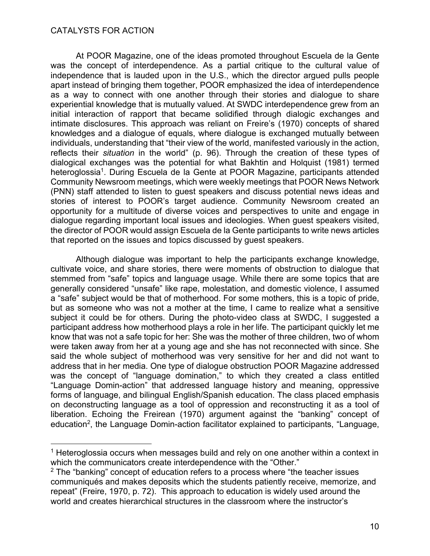At POOR Magazine, one of the ideas promoted throughout Escuela de la Gente was the concept of interdependence. As a partial critique to the cultural value of independence that is lauded upon in the U.S., which the director argued pulls people apart instead of bringing them together, POOR emphasized the idea of interdependence as a way to connect with one another through their stories and dialogue to share experiential knowledge that is mutually valued. At SWDC interdependence grew from an initial interaction of rapport that became solidified through dialogic exchanges and intimate disclosures. This approach was reliant on Freire's (1970) concepts of shared knowledges and a dialogue of equals, where dialogue is exchanged mutually between individuals, understanding that "their view of the world, manifested variously in the action, reflects their *situation* in the world" (p. 96). Through the creation of these types of dialogical exchanges was the potential for what Bakhtin and Holquist (1981) termed heteroglossia<sup>1</sup>. During Escuela de la Gente at POOR Magazine, participants attended Community Newsroom meetings, which were weekly meetings that POOR News Network (PNN) staff attended to listen to guest speakers and discuss potential news ideas and stories of interest to POOR's target audience. Community Newsroom created an opportunity for a multitude of diverse voices and perspectives to unite and engage in dialogue regarding important local issues and ideologies. When guest speakers visited, the director of POOR would assign Escuela de la Gente participants to write news articles that reported on the issues and topics discussed by guest speakers.

Although dialogue was important to help the participants exchange knowledge, cultivate voice, and share stories, there were moments of obstruction to dialogue that stemmed from "safe" topics and language usage. While there are some topics that are generally considered "unsafe" like rape, molestation, and domestic violence, I assumed a "safe" subject would be that of motherhood. For some mothers, this is a topic of pride, but as someone who was not a mother at the time, I came to realize what a sensitive subject it could be for others. During the photo-video class at SWDC, I suggested a participant address how motherhood plays a role in her life. The participant quickly let me know that was not a safe topic for her: She was the mother of three children, two of whom were taken away from her at a young age and she has not reconnected with since. She said the whole subject of motherhood was very sensitive for her and did not want to address that in her media. One type of dialogue obstruction POOR Magazine addressed was the concept of "language domination," to which they created a class entitled "Language Domin-action" that addressed language history and meaning, oppressive forms of language, and bilingual English/Spanish education. The class placed emphasis on deconstructing language as a tool of oppression and reconstructing it as a tool of liberation. Echoing the Freirean (1970) argument against the "banking" concept of education<sup>2</sup>, the Language Domin-action facilitator explained to participants, "Language,

 $1$  Heteroglossia occurs when messages build and rely on one another within a context in which the communicators create interdependence with the "Other."

 $2$  The "banking" concept of education refers to a process where "the teacher issues communiqués and makes deposits which the students patiently receive, memorize, and repeat" (Freire, 1970, p. 72). This approach to education is widely used around the world and creates hierarchical structures in the classroom where the instructor's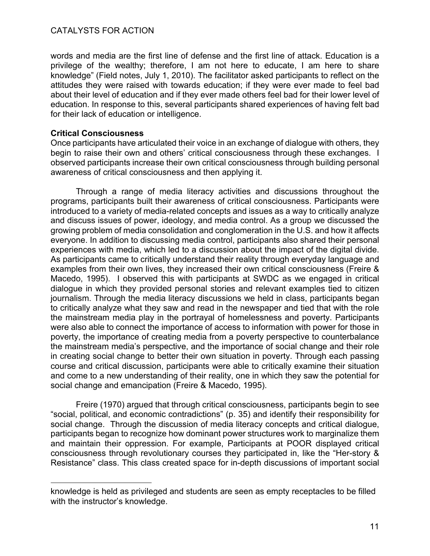words and media are the first line of defense and the first line of attack. Education is a privilege of the wealthy; therefore, I am not here to educate, I am here to share knowledge" (Field notes, July 1, 2010). The facilitator asked participants to reflect on the attitudes they were raised with towards education; if they were ever made to feel bad about their level of education and if they ever made others feel bad for their lower level of education. In response to this, several participants shared experiences of having felt bad for their lack of education or intelligence.

#### **Critical Consciousness**

Once participants have articulated their voice in an exchange of dialogue with others, they begin to raise their own and others' critical consciousness through these exchanges. I observed participants increase their own critical consciousness through building personal awareness of critical consciousness and then applying it.

Through a range of media literacy activities and discussions throughout the programs, participants built their awareness of critical consciousness. Participants were introduced to a variety of media-related concepts and issues as a way to critically analyze and discuss issues of power, ideology, and media control. As a group we discussed the growing problem of media consolidation and conglomeration in the U.S. and how it affects everyone. In addition to discussing media control, participants also shared their personal experiences with media, which led to a discussion about the impact of the digital divide. As participants came to critically understand their reality through everyday language and examples from their own lives, they increased their own critical consciousness (Freire & Macedo, 1995). I observed this with participants at SWDC as we engaged in critical dialogue in which they provided personal stories and relevant examples tied to citizen journalism. Through the media literacy discussions we held in class, participants began to critically analyze what they saw and read in the newspaper and tied that with the role the mainstream media play in the portrayal of homelessness and poverty. Participants were also able to connect the importance of access to information with power for those in poverty, the importance of creating media from a poverty perspective to counterbalance the mainstream media's perspective, and the importance of social change and their role in creating social change to better their own situation in poverty. Through each passing course and critical discussion, participants were able to critically examine their situation and come to a new understanding of their reality, one in which they saw the potential for social change and emancipation (Freire & Macedo, 1995).

Freire (1970) argued that through critical consciousness, participants begin to see "social, political, and economic contradictions" (p. 35) and identify their responsibility for social change. Through the discussion of media literacy concepts and critical dialogue, participants began to recognize how dominant power structures work to marginalize them and maintain their oppression. For example, Participants at POOR displayed critical consciousness through revolutionary courses they participated in, like the "Her-story & Resistance" class. This class created space for in-depth discussions of important social

knowledge is held as privileged and students are seen as empty receptacles to be filled with the instructor's knowledge.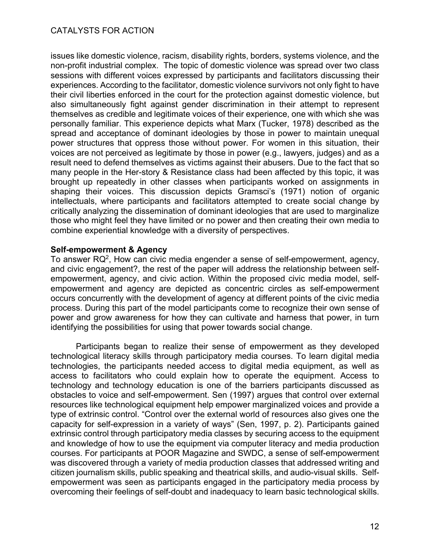issues like domestic violence, racism, disability rights, borders, systems violence, and the non-profit industrial complex. The topic of domestic violence was spread over two class sessions with different voices expressed by participants and facilitators discussing their experiences. According to the facilitator, domestic violence survivors not only fight to have their civil liberties enforced in the court for the protection against domestic violence, but also simultaneously fight against gender discrimination in their attempt to represent themselves as credible and legitimate voices of their experience, one with which she was personally familiar. This experience depicts what Marx (Tucker, 1978) described as the spread and acceptance of dominant ideologies by those in power to maintain unequal power structures that oppress those without power. For women in this situation, their voices are not perceived as legitimate by those in power (e.g., lawyers, judges) and as a result need to defend themselves as victims against their abusers. Due to the fact that so many people in the Her-story & Resistance class had been affected by this topic, it was brought up repeatedly in other classes when participants worked on assignments in shaping their voices. This discussion depicts Gramsci's (1971) notion of organic intellectuals, where participants and facilitators attempted to create social change by critically analyzing the dissemination of dominant ideologies that are used to marginalize those who might feel they have limited or no power and then creating their own media to combine experiential knowledge with a diversity of perspectives.

## **Self-empowerment & Agency**

To answer  $RQ<sup>2</sup>$ , How can civic media engender a sense of self-empowerment, agency, and civic engagement?, the rest of the paper will address the relationship between selfempowerment, agency, and civic action. Within the proposed civic media model, selfempowerment and agency are depicted as concentric circles as self-empowerment occurs concurrently with the development of agency at different points of the civic media process. During this part of the model participants come to recognize their own sense of power and grow awareness for how they can cultivate and harness that power, in turn identifying the possibilities for using that power towards social change.

Participants began to realize their sense of empowerment as they developed technological literacy skills through participatory media courses. To learn digital media technologies, the participants needed access to digital media equipment, as well as access to facilitators who could explain how to operate the equipment. Access to technology and technology education is one of the barriers participants discussed as obstacles to voice and self-empowerment. Sen (1997) argues that control over external resources like technological equipment help empower marginalized voices and provide a type of extrinsic control. "Control over the external world of resources also gives one the capacity for self-expression in a variety of ways" (Sen, 1997, p. 2). Participants gained extrinsic control through participatory media classes by securing access to the equipment and knowledge of how to use the equipment via computer literacy and media production courses. For participants at POOR Magazine and SWDC, a sense of self-empowerment was discovered through a variety of media production classes that addressed writing and citizen journalism skills, public speaking and theatrical skills, and audio-visual skills. Selfempowerment was seen as participants engaged in the participatory media process by overcoming their feelings of self-doubt and inadequacy to learn basic technological skills.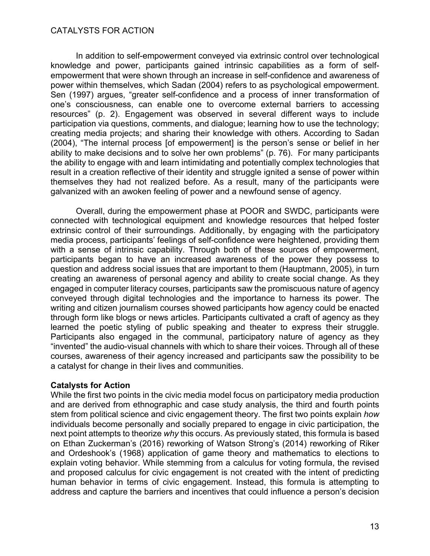In addition to self-empowerment conveyed via extrinsic control over technological knowledge and power, participants gained intrinsic capabilities as a form of selfempowerment that were shown through an increase in self-confidence and awareness of power within themselves, which Sadan (2004) refers to as psychological empowerment. Sen (1997) argues, "greater self-confidence and a process of inner transformation of one's consciousness, can enable one to overcome external barriers to accessing resources" (p. 2). Engagement was observed in several different ways to include participation via questions, comments, and dialogue; learning how to use the technology; creating media projects; and sharing their knowledge with others. According to Sadan (2004), "The internal process [of empowerment] is the person's sense or belief in her ability to make decisions and to solve her own problems" (p. 76). For many participants the ability to engage with and learn intimidating and potentially complex technologies that result in a creation reflective of their identity and struggle ignited a sense of power within themselves they had not realized before. As a result, many of the participants were galvanized with an awoken feeling of power and a newfound sense of agency.

Overall, during the empowerment phase at POOR and SWDC, participants were connected with technological equipment and knowledge resources that helped foster extrinsic control of their surroundings. Additionally, by engaging with the participatory media process, participants' feelings of self-confidence were heightened, providing them with a sense of intrinsic capability. Through both of these sources of empowerment, participants began to have an increased awareness of the power they possess to question and address social issues that are important to them (Hauptmann, 2005), in turn creating an awareness of personal agency and ability to create social change. As they engaged in computer literacy courses, participants saw the promiscuous nature of agency conveyed through digital technologies and the importance to harness its power. The writing and citizen journalism courses showed participants how agency could be enacted through form like blogs or news articles. Participants cultivated a craft of agency as they learned the poetic styling of public speaking and theater to express their struggle. Participants also engaged in the communal, participatory nature of agency as they "invented" the audio-visual channels with which to share their voices. Through all of these courses, awareness of their agency increased and participants saw the possibility to be a catalyst for change in their lives and communities.

#### **Catalysts for Action**

While the first two points in the civic media model focus on participatory media production and are derived from ethnographic and case study analysis, the third and fourth points stem from political science and civic engagement theory. The first two points explain *how* individuals become personally and socially prepared to engage in civic participation, the next point attempts to theorize *why* this occurs. As previously stated, this formula is based on Ethan Zuckerman's (2016) reworking of Watson Strong's (2014) reworking of Riker and Ordeshook's (1968) application of game theory and mathematics to elections to explain voting behavior. While stemming from a calculus for voting formula, the revised and proposed calculus for civic engagement is not created with the intent of predicting human behavior in terms of civic engagement. Instead, this formula is attempting to address and capture the barriers and incentives that could influence a person's decision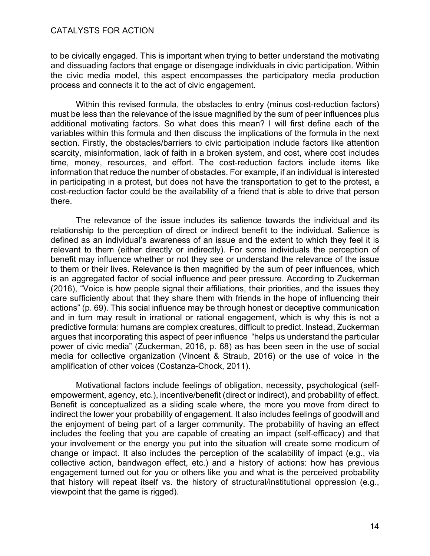to be civically engaged. This is important when trying to better understand the motivating and dissuading factors that engage or disengage individuals in civic participation. Within the civic media model, this aspect encompasses the participatory media production process and connects it to the act of civic engagement.

Within this revised formula, the obstacles to entry (minus cost-reduction factors) must be less than the relevance of the issue magnified by the sum of peer influences plus additional motivating factors. So what does this mean? I will first define each of the variables within this formula and then discuss the implications of the formula in the next section. Firstly, the obstacles/barriers to civic participation include factors like attention scarcity, misinformation, lack of faith in a broken system, and cost, where cost includes time, money, resources, and effort. The cost-reduction factors include items like information that reduce the number of obstacles. For example, if an individual is interested in participating in a protest, but does not have the transportation to get to the protest, a cost-reduction factor could be the availability of a friend that is able to drive that person there.

The relevance of the issue includes its salience towards the individual and its relationship to the perception of direct or indirect benefit to the individual. Salience is defined as an individual's awareness of an issue and the extent to which they feel it is relevant to them (either directly or indirectly). For some individuals the perception of benefit may influence whether or not they see or understand the relevance of the issue to them or their lives. Relevance is then magnified by the sum of peer influences, which is an aggregated factor of social influence and peer pressure. According to Zuckerman (2016), "Voice is how people signal their affiliations, their priorities, and the issues they care sufficiently about that they share them with friends in the hope of influencing their actions" (p. 69). This social influence may be through honest or deceptive communication and in turn may result in irrational or rational engagement, which is why this is not a predictive formula: humans are complex creatures, difficult to predict. Instead, Zuckerman argues that incorporating this aspect of peer influence "helps us understand the particular power of civic media" (Zuckerman, 2016, p. 68) as has been seen in the use of social media for collective organization (Vincent & Straub, 2016) or the use of voice in the amplification of other voices (Costanza-Chock, 2011).

Motivational factors include feelings of obligation, necessity, psychological (selfempowerment, agency, etc.), incentive/benefit (direct or indirect), and probability of effect. Benefit is conceptualized as a sliding scale where, the more you move from direct to indirect the lower your probability of engagement. It also includes feelings of goodwill and the enjoyment of being part of a larger community. The probability of having an effect includes the feeling that you are capable of creating an impact (self-efficacy) and that your involvement or the energy you put into the situation will create some modicum of change or impact. It also includes the perception of the scalability of impact (e.g., via collective action, bandwagon effect, etc.) and a history of actions: how has previous engagement turned out for you or others like you and what is the perceived probability that history will repeat itself vs. the history of structural/institutional oppression (e.g., viewpoint that the game is rigged).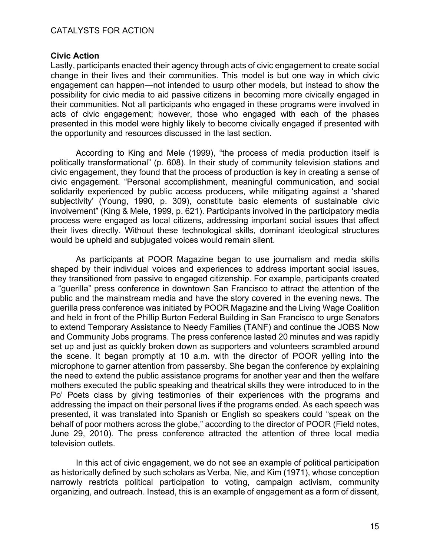#### **Civic Action**

Lastly, participants enacted their agency through acts of civic engagement to create social change in their lives and their communities. This model is but one way in which civic engagement can happen—not intended to usurp other models, but instead to show the possibility for civic media to aid passive citizens in becoming more civically engaged in their communities. Not all participants who engaged in these programs were involved in acts of civic engagement; however, those who engaged with each of the phases presented in this model were highly likely to become civically engaged if presented with the opportunity and resources discussed in the last section.

According to King and Mele (1999), "the process of media production itself is politically transformational" (p. 608). In their study of community television stations and civic engagement, they found that the process of production is key in creating a sense of civic engagement. "Personal accomplishment, meaningful communication, and social solidarity experienced by public access producers, while mitigating against a 'shared subjectivity' (Young, 1990, p. 309), constitute basic elements of sustainable civic involvement" (King & Mele, 1999, p. 621). Participants involved in the participatory media process were engaged as local citizens, addressing important social issues that affect their lives directly. Without these technological skills, dominant ideological structures would be upheld and subjugated voices would remain silent.

As participants at POOR Magazine began to use journalism and media skills shaped by their individual voices and experiences to address important social issues, they transitioned from passive to engaged citizenship. For example, participants created a "guerilla" press conference in downtown San Francisco to attract the attention of the public and the mainstream media and have the story covered in the evening news. The guerilla press conference was initiated by POOR Magazine and the Living Wage Coalition and held in front of the Phillip Burton Federal Building in San Francisco to urge Senators to extend Temporary Assistance to Needy Families (TANF) and continue the JOBS Now and Community Jobs programs. The press conference lasted 20 minutes and was rapidly set up and just as quickly broken down as supporters and volunteers scrambled around the scene. It began promptly at 10 a.m. with the director of POOR yelling into the microphone to garner attention from passersby. She began the conference by explaining the need to extend the public assistance programs for another year and then the welfare mothers executed the public speaking and theatrical skills they were introduced to in the Po' Poets class by giving testimonies of their experiences with the programs and addressing the impact on their personal lives if the programs ended. As each speech was presented, it was translated into Spanish or English so speakers could "speak on the behalf of poor mothers across the globe," according to the director of POOR (Field notes, June 29, 2010). The press conference attracted the attention of three local media television outlets.

In this act of civic engagement, we do not see an example of political participation as historically defined by such scholars as Verba, Nie, and Kim (1971), whose conception narrowly restricts political participation to voting, campaign activism, community organizing, and outreach. Instead, this is an example of engagement as a form of dissent,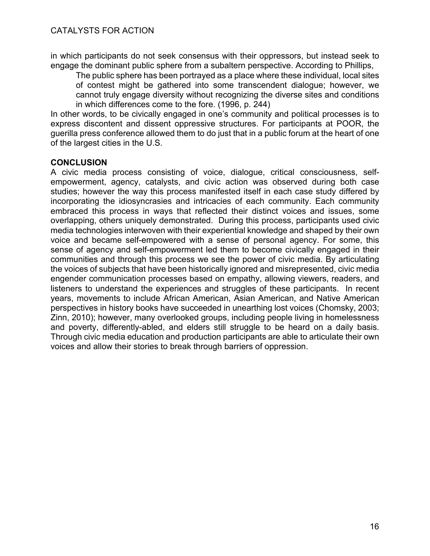in which participants do not seek consensus with their oppressors, but instead seek to engage the dominant public sphere from a subaltern perspective. According to Phillips,

The public sphere has been portrayed as a place where these individual, local sites of contest might be gathered into some transcendent dialogue; however, we cannot truly engage diversity without recognizing the diverse sites and conditions in which differences come to the fore. (1996, p. 244)

In other words, to be civically engaged in one's community and political processes is to express discontent and dissent oppressive structures. For participants at POOR, the guerilla press conference allowed them to do just that in a public forum at the heart of one of the largest cities in the U.S.

# **CONCLUSION**

A civic media process consisting of voice, dialogue, critical consciousness, selfempowerment, agency, catalysts, and civic action was observed during both case studies; however the way this process manifested itself in each case study differed by incorporating the idiosyncrasies and intricacies of each community. Each community embraced this process in ways that reflected their distinct voices and issues, some overlapping, others uniquely demonstrated. During this process, participants used civic media technologies interwoven with their experiential knowledge and shaped by their own voice and became self-empowered with a sense of personal agency. For some, this sense of agency and self-empowerment led them to become civically engaged in their communities and through this process we see the power of civic media. By articulating the voices of subjects that have been historically ignored and misrepresented, civic media engender communication processes based on empathy, allowing viewers, readers, and listeners to understand the experiences and struggles of these participants. In recent years, movements to include African American, Asian American, and Native American perspectives in history books have succeeded in unearthing lost voices (Chomsky, 2003; Zinn, 2010); however, many overlooked groups, including people living in homelessness and poverty, differently-abled, and elders still struggle to be heard on a daily basis. Through civic media education and production participants are able to articulate their own voices and allow their stories to break through barriers of oppression.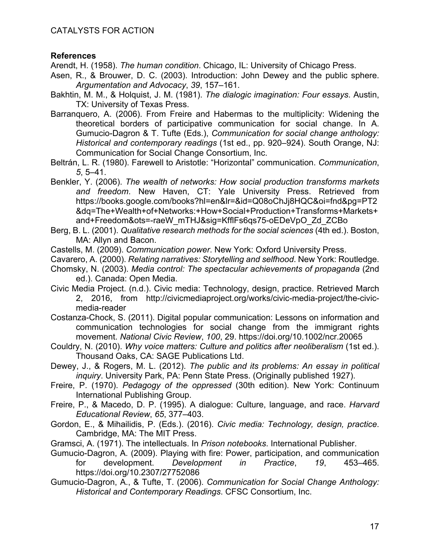### **References**

Arendt, H. (1958). *The human condition*. Chicago, IL: University of Chicago Press.

- Asen, R., & Brouwer, D. C. (2003). Introduction: John Dewey and the public sphere. *Argumentation and Advocacy*, *39*, 157–161.
- Bakhtin, M. M., & Holquist, J. M. (1981). *The dialogic imagination: Four essays*. Austin, TX: University of Texas Press.
- Barranquero, A. (2006). From Freire and Habermas to the multiplicity: Widening the theoretical borders of participative communication for social change. In A. Gumucio-Dagron & T. Tufte (Eds.), *Communication for social change anthology: Historical and contemporary readings* (1st ed., pp. 920–924). South Orange, NJ: Communication for Social Change Consortium, Inc.
- Beltrán, L. R. (1980). Farewell to Aristotle: "Horizontal" communication. *Communication*, *5*, 5–41.
- Benkler, Y. (2006). *The wealth of networks: How social production transforms markets and freedom*. New Haven, CT: Yale University Press. Retrieved from https://books.google.com/books?hl=en&lr=&id=Q08oChJj8HQC&oi=fnd&pg=PT2 &dq=The+Wealth+of+Networks:+How+Social+Production+Transforms+Markets+ and+Freedom&ots=-raeW\_mTHJ&sig=KfflFs6qs75-oEDeVpO\_Zd\_ZCBo
- Berg, B. L. (2001). *Qualitative research methods for the social sciences* (4th ed.). Boston, MA: Allyn and Bacon.
- Castells, M. (2009). *Communication power*. New York: Oxford University Press.
- Cavarero, A. (2000). *Relating narratives: Storytelling and selfhood*. New York: Routledge.
- Chomsky, N. (2003). *Media control: The spectacular achievements of propaganda* (2nd ed.). Canada: Open Media.
- Civic Media Project. (n.d.). Civic media: Technology, design, practice. Retrieved March 2, 2016, from http://civicmediaproject.org/works/civic-media-project/the-civicmedia-reader
- Costanza-Chock, S. (2011). Digital popular communication: Lessons on information and communication technologies for social change from the immigrant rights movement. *National Civic Review*, *100*, 29. https://doi.org/10.1002/ncr.20065
- Couldry, N. (2010). *Why voice matters: Culture and politics after neoliberalism* (1st ed.). Thousand Oaks, CA: SAGE Publications Ltd.
- Dewey, J., & Rogers, M. L. (2012). *The public and its problems: An essay in political inquiry*. University Park, PA: Penn State Press. (Originally published 1927).
- Freire, P. (1970). *Pedagogy of the oppressed* (30th edition). New York: Continuum International Publishing Group.
- Freire, P., & Macedo, D. P. (1995). A dialogue: Culture, language, and race. *Harvard Educational Review*, *65*, 377–403.
- Gordon, E., & Mihailidis, P. (Eds.). (2016). *Civic media: Technology, design, practice*. Cambridge, MA: The MIT Press.
- Gramsci, A. (1971). The intellectuals. In *Prison notebooks*. International Publisher.
- Gumucio-Dagron, A. (2009). Playing with fire: Power, participation, and communication for development. *Development in Practice*, *19*, 453–465. https://doi.org/10.2307/27752086
- Gumucio-Dagron, A., & Tufte, T. (2006). *Communication for Social Change Anthology: Historical and Contemporary Readings*. CFSC Consortium, Inc.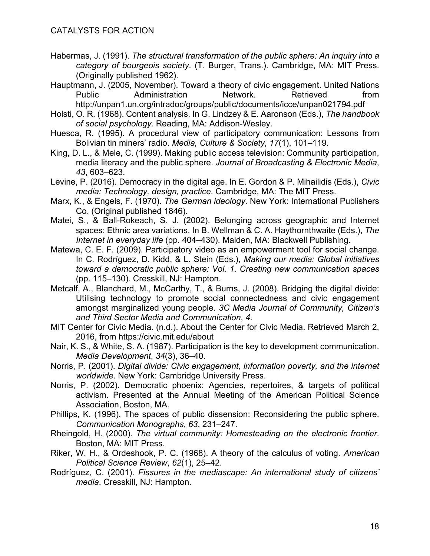- Habermas, J. (1991). *The structural transformation of the public sphere: An inquiry into a category of bourgeois society*. (T. Burger, Trans.). Cambridge, MA: MIT Press. (Originally published 1962).
- Hauptmann, J. (2005, November). Toward a theory of civic engagement. United Nations Public Administration Network. Retrieved from http://unpan1.un.org/intradoc/groups/public/documents/icce/unpan021794.pdf
- Holsti, O. R. (1968). Content analysis. In G. Lindzey & E. Aaronson (Eds.), *The handbook of social psychology*. Reading, MA: Addison-Wesley.
- Huesca, R. (1995). A procedural view of participatory communication: Lessons from Bolivian tin miners' radio. *Media, Culture & Society*, *17*(1), 101–119.
- King, D. L., & Mele, C. (1999). Making public access television: Community participation, media literacy and the public sphere. *Journal of Broadcasting & Electronic Media*, *43*, 603–623.
- Levine, P. (2016). Democracy in the digital age. In E. Gordon & P. Mihailidis (Eds.), *Civic media: Technology, design, practice*. Cambridge, MA: The MIT Press.
- Marx, K., & Engels, F. (1970). *The German ideology*. New York: International Publishers Co. (Original published 1846).
- Matei, S., & Ball-Rokeach, S. J. (2002). Belonging across geographic and Internet spaces: Ethnic area variations. In B. Wellman & C. A. Haythornthwaite (Eds.), *The Internet in everyday life* (pp. 404–430). Malden, MA: Blackwell Publishing.
- Matewa, C. E. F. (2009). Participatory video as an empowerment tool for social change. In C. Rodríguez, D. Kidd, & L. Stein (Eds.), *Making our media: Global initiatives toward a democratic public sphere: Vol. 1. Creating new communication spaces* (pp. 115–130). Cresskill, NJ: Hampton.
- Metcalf, A., Blanchard, M., McCarthy, T., & Burns, J. (2008). Bridging the digital divide: Utilising technology to promote social connectedness and civic engagement amongst marginalized young people. *3C Media Journal of Community, Citizen's and Third Sector Media and Communication*, *4*.
- MIT Center for Civic Media. (n.d.). About the Center for Civic Media. Retrieved March 2, 2016, from https://civic.mit.edu/about
- Nair, K. S., & White, S. A. (1987). Participation is the key to development communication. *Media Development*, *34*(3), 36–40.
- Norris, P. (2001). *Digital divide: Civic engagement, information poverty, and the internet worldwide*. New York: Cambridge University Press.
- Norris, P. (2002). Democratic phoenix: Agencies, repertoires, & targets of political activism. Presented at the Annual Meeting of the American Political Science Association, Boston, MA.
- Phillips, K. (1996). The spaces of public dissension: Reconsidering the public sphere. *Communication Monographs*, *63*, 231–247.
- Rheingold, H. (2000). *The virtual community: Homesteading on the electronic frontier*. Boston, MA: MIT Press.
- Riker, W. H., & Ordeshook, P. C. (1968). A theory of the calculus of voting. *American Political Science Review*, *62*(1), 25–42.
- Rodríguez, C. (2001). *Fissures in the mediascape: An international study of citizens' media*. Cresskill, NJ: Hampton.